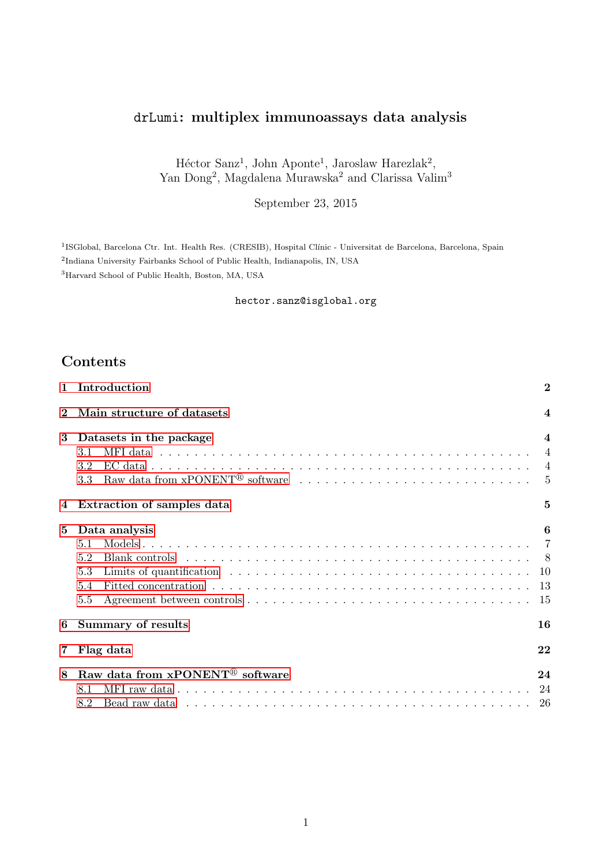# drLumi: multiplex immunoassays data analysis

Héctor Sanz<sup>1</sup>, John Aponte<sup>1</sup>, Jaroslaw Harezlak<sup>2</sup>, Yan Dong<sup>2</sup>, Magdalena Murawska<sup>2</sup> and Clarissa Valim<sup>3</sup>

September 23, 2015

<sup>1</sup>ISGlobal, Barcelona Ctr. Int. Health Res. (CRESIB), Hospital Clínic - Universitat de Barcelona, Barcelona, Spain 2 Indiana University Fairbanks School of Public Health, Indianapolis, IN, USA <sup>3</sup>Harvard School of Public Health, Boston, MA, USA

hector.sanz@isglobal.org

# Contents

| $\mathbf{1}$ | Introduction                                |                |  |  |  |  |  |  |
|--------------|---------------------------------------------|----------------|--|--|--|--|--|--|
| $\bf{2}$     | Main structure of datasets                  |                |  |  |  |  |  |  |
| 3            | Datasets in the package                     | 4              |  |  |  |  |  |  |
|              | 3.1                                         | $\overline{4}$ |  |  |  |  |  |  |
|              | 3.2                                         | $\overline{4}$ |  |  |  |  |  |  |
|              | 3.3                                         | 5              |  |  |  |  |  |  |
| 4            | Extraction of samples data                  | $\overline{5}$ |  |  |  |  |  |  |
| 5            | Data analysis                               | 6              |  |  |  |  |  |  |
|              | 5.1                                         | $\overline{7}$ |  |  |  |  |  |  |
|              | 5.2                                         | - 8            |  |  |  |  |  |  |
|              | 5.3                                         | 10             |  |  |  |  |  |  |
|              | 5.4                                         | 13             |  |  |  |  |  |  |
|              | 5.5                                         | 15             |  |  |  |  |  |  |
| 6            | <b>Summary of results</b>                   | 16             |  |  |  |  |  |  |
| 7            | 22<br>Flag data                             |                |  |  |  |  |  |  |
| 8            | Raw data from xPONENT <sup>®</sup> software | 24             |  |  |  |  |  |  |
|              | 8.1                                         | 24             |  |  |  |  |  |  |
|              | 8.2                                         | -26            |  |  |  |  |  |  |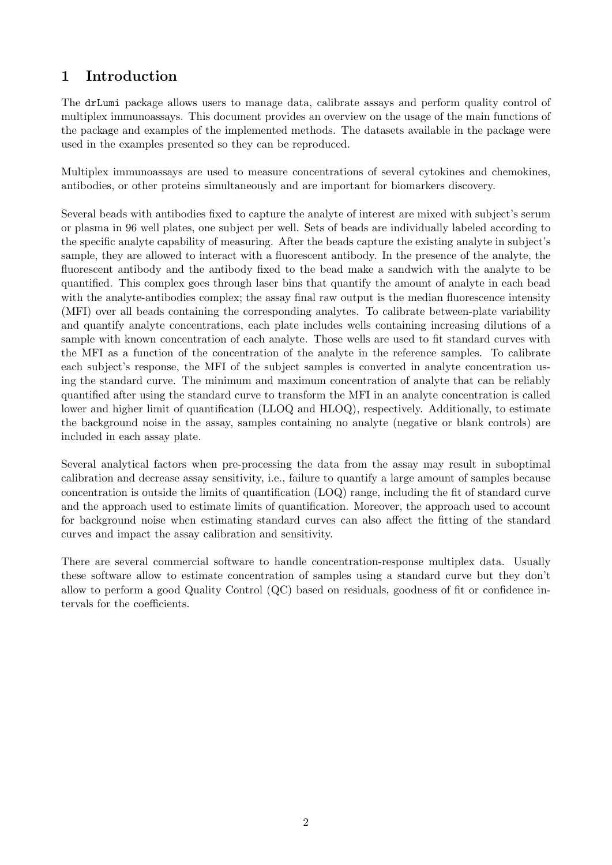# <span id="page-1-0"></span>1 Introduction

The drLumi package allows users to manage data, calibrate assays and perform quality control of multiplex immunoassays. This document provides an overview on the usage of the main functions of the package and examples of the implemented methods. The datasets available in the package were used in the examples presented so they can be reproduced.

Multiplex immunoassays are used to measure concentrations of several cytokines and chemokines, antibodies, or other proteins simultaneously and are important for biomarkers discovery.

Several beads with antibodies fixed to capture the analyte of interest are mixed with subject's serum or plasma in 96 well plates, one subject per well. Sets of beads are individually labeled according to the specific analyte capability of measuring. After the beads capture the existing analyte in subject's sample, they are allowed to interact with a fluorescent antibody. In the presence of the analyte, the fluorescent antibody and the antibody fixed to the bead make a sandwich with the analyte to be quantified. This complex goes through laser bins that quantify the amount of analyte in each bead with the analyte-antibodies complex; the assay final raw output is the median fluorescence intensity (MFI) over all beads containing the corresponding analytes. To calibrate between-plate variability and quantify analyte concentrations, each plate includes wells containing increasing dilutions of a sample with known concentration of each analyte. Those wells are used to fit standard curves with the MFI as a function of the concentration of the analyte in the reference samples. To calibrate each subject's response, the MFI of the subject samples is converted in analyte concentration using the standard curve. The minimum and maximum concentration of analyte that can be reliably quantified after using the standard curve to transform the MFI in an analyte concentration is called lower and higher limit of quantification (LLOQ and HLOQ), respectively. Additionally, to estimate the background noise in the assay, samples containing no analyte (negative or blank controls) are included in each assay plate.

Several analytical factors when pre-processing the data from the assay may result in suboptimal calibration and decrease assay sensitivity, i.e., failure to quantify a large amount of samples because concentration is outside the limits of quantification (LOQ) range, including the fit of standard curve and the approach used to estimate limits of quantification. Moreover, the approach used to account for background noise when estimating standard curves can also affect the fitting of the standard curves and impact the assay calibration and sensitivity.

There are several commercial software to handle concentration-response multiplex data. Usually these software allow to estimate concentration of samples using a standard curve but they don't allow to perform a good Quality Control (QC) based on residuals, goodness of fit or confidence intervals for the coefficients.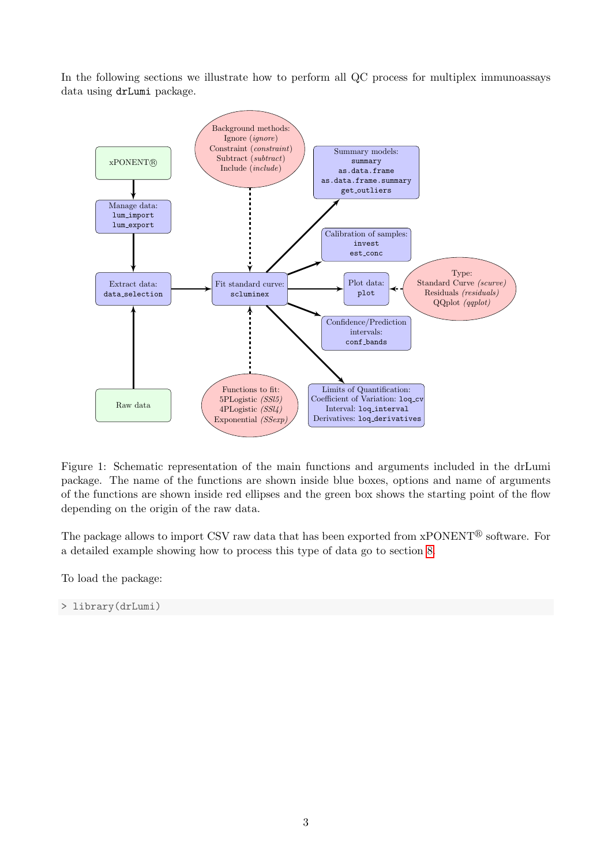In the following sections we illustrate how to perform all QC process for multiplex immunoassays data using drLumi package.



Figure 1: Schematic representation of the main functions and arguments included in the drLumi package. The name of the functions are shown inside blue boxes, options and name of arguments of the functions are shown inside red ellipses and the green box shows the starting point of the flow depending on the origin of the raw data.

The package allows to import CSV raw data that has been exported from  $xPONENT^{\circledR}$  software. For a detailed example showing how to process this type of data go to section [8.](#page-23-0)

To load the package:

> library(drLumi)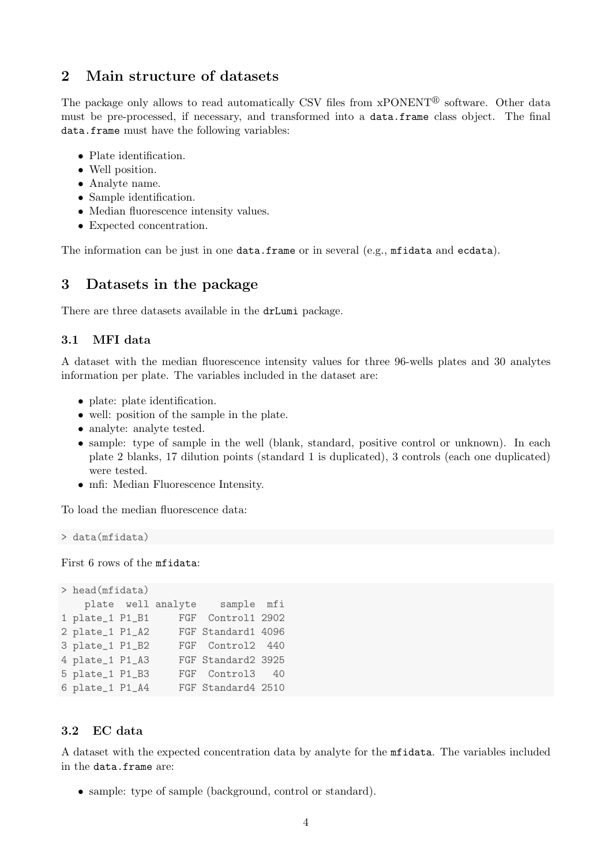## <span id="page-3-0"></span>2 Main structure of datasets

The package only allows to read automatically CSV files from xPONENT<sup>®</sup> software. Other data must be pre-processed, if necessary, and transformed into a data.frame class object. The final data.frame must have the following variables:

- Plate identification.
- Well position.
- Analyte name.
- Sample identification.
- Median fluorescence intensity values.
- Expected concentration.

The information can be just in one data.frame or in several (e.g., mfidata and ecdata).

## <span id="page-3-1"></span>3 Datasets in the package

There are three datasets available in the drLumi package.

### <span id="page-3-2"></span>3.1 MFI data

A dataset with the median fluorescence intensity values for three 96-wells plates and 30 analytes information per plate. The variables included in the dataset are:

- plate: plate identification.
- well: position of the sample in the plate.
- analyte: analyte tested.
- sample: type of sample in the well (blank, standard, positive control or unknown). In each plate 2 blanks, 17 dilution points (standard 1 is duplicated), 3 controls (each one duplicated) were tested.
- mfi: Median Fluorescence Intensity.

To load the median fluorescence data:

> data(mfidata)

First 6 rows of the mfidata:

```
> head(mfidata)
   plate well analyte sample mfi
1 plate_1 P1_B1 FGF Control1 2902
2 plate_1 P1_A2 FGF Standard1 4096
3 plate_1 P1_B2 FGF Control2 440
4 plate_1 P1_A3 FGF Standard2 3925
5 plate_1 P1_B3 FGF Control3 40
6 plate_1 P1_A4 FGF Standard4 2510
```
### <span id="page-3-3"></span>3.2 EC data

A dataset with the expected concentration data by analyte for the mfidata. The variables included in the data.frame are:

• sample: type of sample (background, control or standard).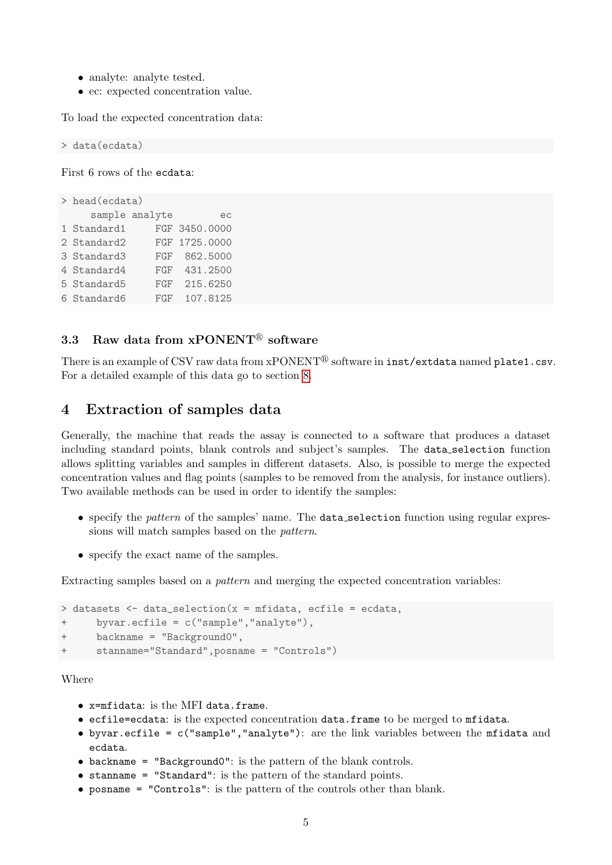- analyte: analyte tested.
- ec: expected concentration value.

To load the expected concentration data:

> data(ecdata)

First 6 rows of the ecdata:

```
> head(ecdata)
    sample analyte ec
1 Standard1 FGF 3450.0000
2 Standard2 FGF 1725.0000
3 Standard3 FGF 862.5000
4 Standard4 FGF 431.2500
5 Standard5 FGF 215.6250
6 Standard6 FGF 107.8125
```
## <span id="page-4-0"></span>3.3 Raw data from  $x$ PONENT<sup>®</sup> software

There is an example of CSV raw data from  $x$ PONENT<sup>®</sup> software in inst/extdata named plate1.csv. For a detailed example of this data go to section [8.](#page-23-0)

## <span id="page-4-1"></span>4 Extraction of samples data

Generally, the machine that reads the assay is connected to a software that produces a dataset including standard points, blank controls and subject's samples. The data selection function allows splitting variables and samples in different datasets. Also, is possible to merge the expected concentration values and flag points (samples to be removed from the analysis, for instance outliers). Two available methods can be used in order to identify the samples:

- specify the pattern of the samples' name. The data\_selection function using regular expressions will match samples based on the pattern.
- specify the exact name of the samples.

Extracting samples based on a *pattern* and merging the expected concentration variables:

```
> datasets <- data_selection(x = mfidata, ecfile = ecdata,
+ byvar.ecfile = c("sample","analyte"),
+ backname = "Background0",
     stanname="Standard", posname = "Controls")
```
Where

- x=mfidata: is the MFI data.frame.
- ecfile=ecdata: is the expected concentration data.frame to be merged to mfidata.
- byvar.ecfile = c("sample","analyte"): are the link variables between the mfidata and ecdata.
- backname = "Background0": is the pattern of the blank controls.
- stanname = "Standard": is the pattern of the standard points.
- posname = "Controls": is the pattern of the controls other than blank.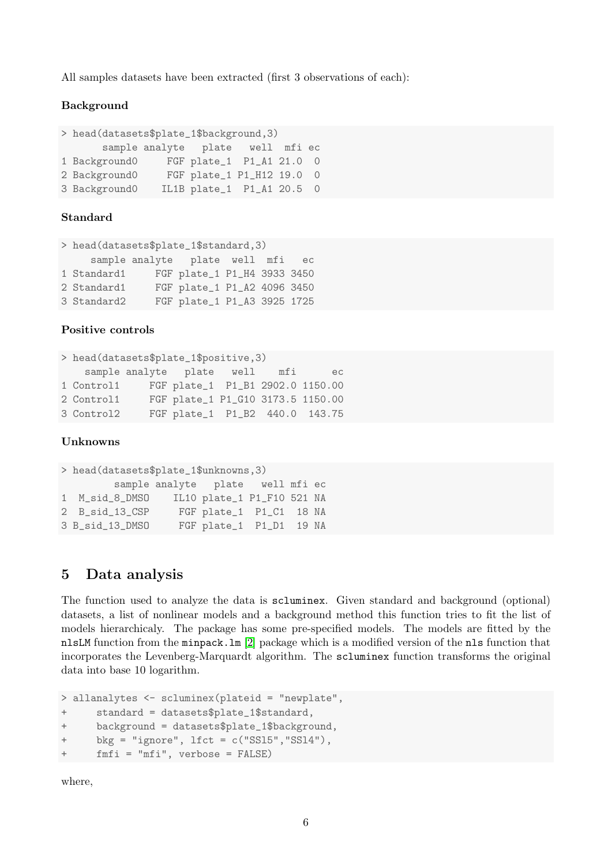All samples datasets have been extracted (first 3 observations of each):

#### Background

```
> head(datasets$plate_1$background,3)
      sample analyte plate well mfi ec
1 Background0 FGF plate_1 P1_A1 21.0 0
2 Background0 FGF plate_1 P1_H12 19.0 0
3 Background0 IL1B plate_1 P1_A1 20.5 0
```
#### Standard

```
> head(datasets$plate_1$standard,3)
    sample analyte plate well mfi ec
1 Standard1 FGF plate_1 P1_H4 3933 3450
2 Standard1 FGF plate_1 P1_A2 4096 3450
3 Standard2 FGF plate_1 P1_A3 3925 1725
```
#### Positive controls

```
> head(datasets$plate_1$positive,3)
   sample analyte plate well mfi ec
1 Control1 FGF plate_1 P1_B1 2902.0 1150.00
2 Control1 FGF plate_1 P1_G10 3173.5 1150.00
3 Control2 FGF plate_1 P1_B2 440.0 143.75
```
#### Unknowns

```
> head(datasets$plate_1$unknowns,3)
        sample analyte plate well mfi ec
1 M_sid_8_DMSO IL10 plate_1 P1_F10 521 NA
2 B_sid_13_CSP FGF plate_1 P1_C1 18 NA
3 B_sid_13_DMSO FGF plate_1 P1_D1 19 NA
```
## <span id="page-5-0"></span>5 Data analysis

The function used to analyze the data is scluminex. Given standard and background (optional) datasets, a list of nonlinear models and a background method this function tries to fit the list of models hierarchicaly. The package has some pre-specified models. The models are fitted by the nlsLM function from the minpack.lm [\[2\]](#page-27-0) package which is a modified version of the nls function that incorporates the Levenberg-Marquardt algorithm. The scluminex function transforms the original data into base 10 logarithm.

```
> allanalytes <- scluminex(plateid = "newplate",
+ standard = datasets$plate_1$standard,
+ background = datasets$plate_1$background,
+ bkg = "ignore", lfct = c("SSl5","SSl4"),
+ fmfi = "mfi", verbose = FALSE)
```
where,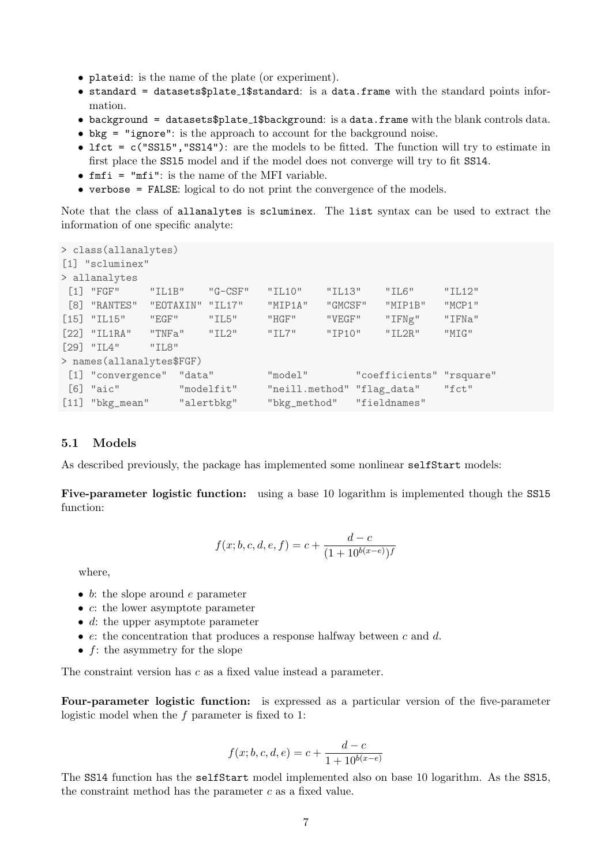- plateid: is the name of the plate (or experiment).
- standard = datasets\$plate\_1\$standard: is a data.frame with the standard points information.
- background = datasets\$plate 1\$background: is a data.frame with the blank controls data.
- bkg = "ignore": is the approach to account for the background noise.
- lfct = c("SS15", "SS14"): are the models to be fitted. The function will try to estimate in first place the SSl5 model and if the model does not converge will try to fit SSl4.
- $f$ m $f$ i = "m $f$ i": is the name of the MFI variable.
- verbose = FALSE: logical to do not print the convergence of the models.

Note that the class of allanalytes is scluminex. The list syntax can be used to extract the information of one specific analyte:

```
> class(allanalytes)
[1] "scluminex"
> allanalytes
[1] "FGF" "IL1B" "G-CSF" "IL10" "IL13" "IL6" "IL12"
[8] "RANTES" "EOTAXIN" "IL17" "MIP1A" "GMCSF" "MIP1B" "MCP1"
[15] "IL15" "EGF" "IL5" "HGF" "VEGF" "IFNg" "IFNa"
[22] "IL1RA" "TNFa" "IL2" "IL7" "IP10" "IL2R" "MIG"
[29] "IL4" "IL8"
> names(allanalytes$FGF)
[1] "convergence" "data" "model" "coefficients" "rsquare"
[6] "aic" "modelfit" "neill.method" "flag_data" "fct"
[11] "bkg_mean" "alertbkg" "bkg_method" "fieldnames"
```
#### <span id="page-6-0"></span>5.1 Models

As described previously, the package has implemented some nonlinear selfStart models:

Five-parameter logistic function: using a base 10 logarithm is implemented though the SSl5 function:

$$
f(x; b, c, d, e, f) = c + \frac{d - c}{(1 + 10^{b(x - e)})f}
$$

where,

- $\bullet$  b: the slope around e parameter
- c: the lower asymptote parameter
- $d$ : the upper asymptote parameter
- $e$ : the concentration that produces a response halfway between c and d.
- $f$ : the asymmetry for the slope

The constraint version has c as a fixed value instead a parameter.

Four-parameter logistic function: is expressed as a particular version of the five-parameter logistic model when the f parameter is fixed to 1:

$$
f(x; b, c, d, e) = c + \frac{d - c}{1 + 10^{b(x - e)}}
$$

The SSl4 function has the selfStart model implemented also on base 10 logarithm. As the SSl5, the constraint method has the parameter  $c$  as a fixed value.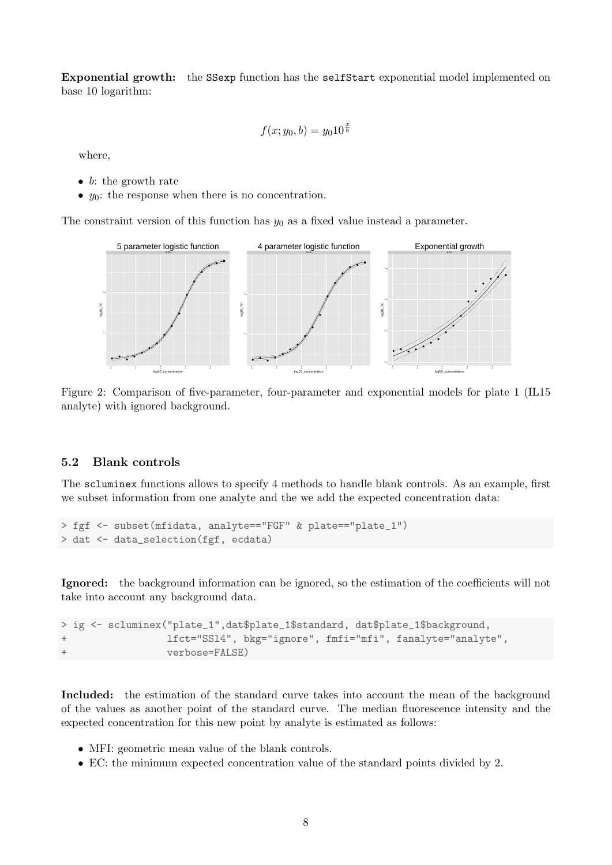Exponential growth: the SSexp function has the selfStart exponential model implemented on base 10 logarithm:

$$
f(x; y_0, b) = y_0 10^{\frac{x}{b}}
$$

where,

- b: the growth rate
- $y_0$ : the response when there is no concentration.

The constraint version of this function has  $y_0$  as a fixed value instead a parameter.



Figure 2: Comparison of five-parameter, four-parameter and exponential models for plate 1 (IL15 analyte) with ignored background.

### <span id="page-7-0"></span>5.2 Blank controls

The scluminex functions allows to specify 4 methods to handle blank controls. As an example, first we subset information from one analyte and the we add the expected concentration data:

```
> fgf <- subset(mfidata, analyte=="FGF" & plate=="plate_1")
> dat <- data_selection(fgf, ecdata)
```
Ignored: the background information can be ignored, so the estimation of the coefficients will not take into account any background data.

```
> ig <- scluminex("plate_1",dat$plate_1$standard, dat$plate_1$background,
                  + lfct="SSl4", bkg="ignore", fmfi="mfi", fanalyte="analyte",
                  verbose=FALSE)
```
Included: the estimation of the standard curve takes into account the mean of the background of the values as another point of the standard curve. The median fluorescence intensity and the expected concentration for this new point by analyte is estimated as follows:

- MFI: geometric mean value of the blank controls.
- EC: the minimum expected concentration value of the standard points divided by 2.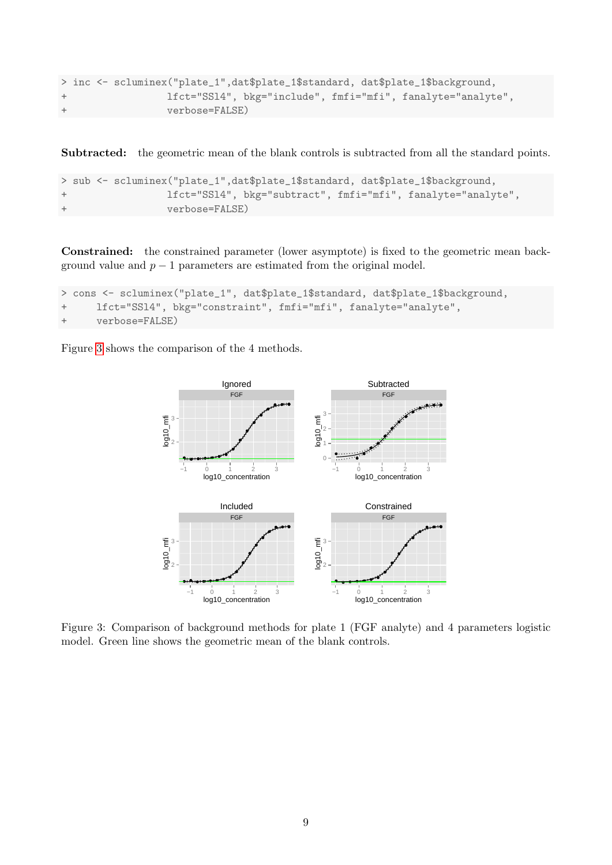```
> inc <- scluminex("plate_1",dat$plate_1$standard, dat$plate_1$background,
+ lfct="SSl4", bkg="include", fmfi="mfi", fanalyte="analyte",
                verbose=FALSE)
```
Subtracted: the geometric mean of the blank controls is subtracted from all the standard points.

```
> sub <- scluminex("plate_1",dat$plate_1$standard, dat$plate_1$background,
+ lfct="SSl4", bkg="subtract", fmfi="mfi", fanalyte="analyte",
                verbose=FALSE)
```
Constrained: the constrained parameter (lower asymptote) is fixed to the geometric mean background value and  $p-1$  parameters are estimated from the original model.

```
> cons <- scluminex("plate_1", dat$plate_1$standard, dat$plate_1$background,
+ lfct="SSl4", bkg="constraint", fmfi="mfi", fanalyte="analyte",
     verbose=FALSE)
```
<span id="page-8-0"></span>Figure [3](#page-8-0) shows the comparison of the 4 methods.



Figure 3: Comparison of background methods for plate 1 (FGF analyte) and 4 parameters logistic model. Green line shows the geometric mean of the blank controls.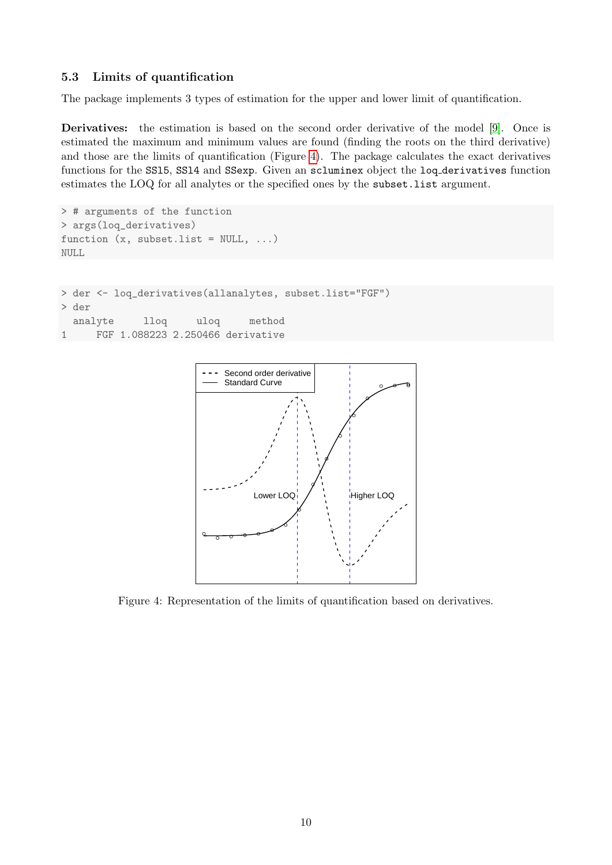## <span id="page-9-0"></span>5.3 Limits of quantification

The package implements 3 types of estimation for the upper and lower limit of quantification.

Derivatives: the estimation is based on the second order derivative of the model [\[9\]](#page-27-1). Once is estimated the maximum and minimum values are found (finding the roots on the third derivative) and those are the limits of quantification (Figure [4\)](#page-9-1). The package calculates the exact derivatives functions for the SSl5, SSl4 and SSexp. Given an scluminex object the loq derivatives function estimates the LOQ for all analytes or the specified ones by the subset.list argument.

```
> # arguments of the function
> args(loq_derivatives)
function (x, subset-list = NULL, ...)NULL
> der <- loq_derivatives(allanalytes, subset.list="FGF")
> der
 analyte lloq uloq method
1 FGF 1.088223 2.250466 derivative
```
<span id="page-9-1"></span>

Figure 4: Representation of the limits of quantification based on derivatives.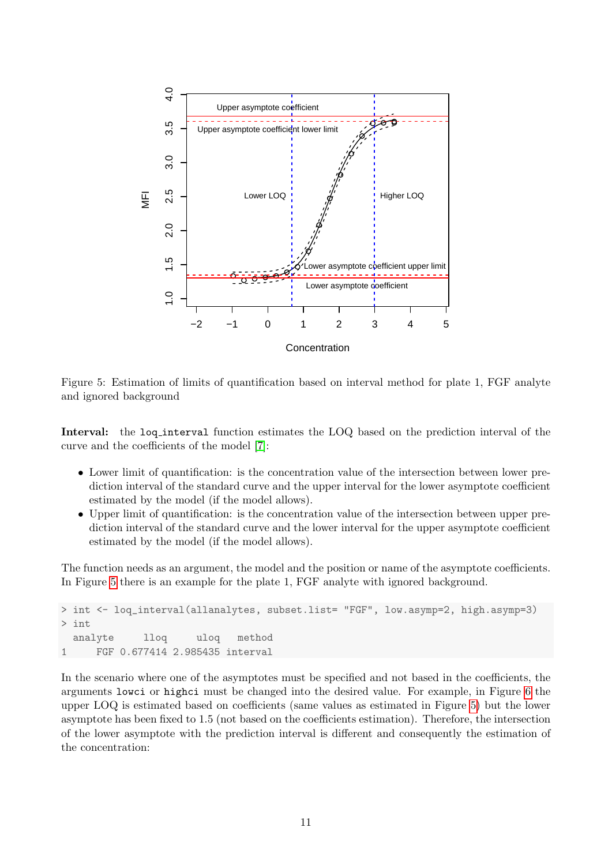<span id="page-10-0"></span>

Figure 5: Estimation of limits of quantification based on interval method for plate 1, FGF analyte and ignored background

Interval: the loq-interval function estimates the LOQ based on the prediction interval of the curve and the coefficients of the model [\[7\]](#page-27-2):

- Lower limit of quantification: is the concentration value of the intersection between lower prediction interval of the standard curve and the upper interval for the lower asymptote coefficient estimated by the model (if the model allows).
- Upper limit of quantification: is the concentration value of the intersection between upper prediction interval of the standard curve and the lower interval for the upper asymptote coefficient estimated by the model (if the model allows).

The function needs as an argument, the model and the position or name of the asymptote coefficients. In Figure [5](#page-10-0) there is an example for the plate 1, FGF analyte with ignored background.

```
> int <- loq_interval(allanalytes, subset.list= "FGF", low.asymp=2, high.asymp=3)
> int
 analyte lloq uloq method
1 FGF 0.677414 2.985435 interval
```
In the scenario where one of the asymptotes must be specified and not based in the coefficients, the arguments lowci or highci must be changed into the desired value. For example, in Figure [6](#page-11-0) the upper LOQ is estimated based on coefficients (same values as estimated in Figure [5\)](#page-10-0) but the lower asymptote has been fixed to 1.5 (not based on the coefficients estimation). Therefore, the intersection of the lower asymptote with the prediction interval is different and consequently the estimation of the concentration: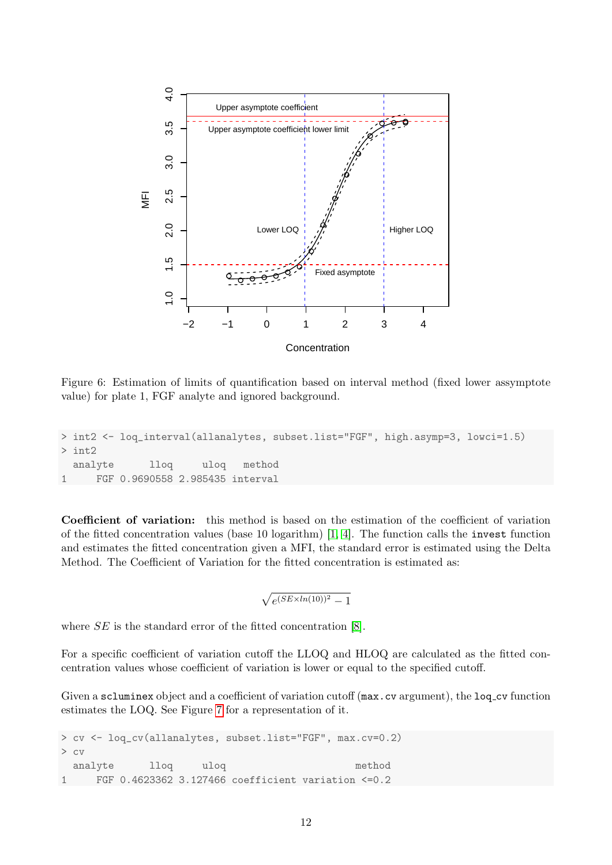<span id="page-11-0"></span>

Figure 6: Estimation of limits of quantification based on interval method (fixed lower assymptote value) for plate 1, FGF analyte and ignored background.

```
> int2 <- loq_interval(allanalytes, subset.list="FGF", high.asymp=3, lowci=1.5)
> int2
 analyte lloq uloq method
1 FGF 0.9690558 2.985435 interval
```
Coefficient of variation: this method is based on the estimation of the coefficient of variation of the fitted concentration values (base 10 logarithm) [\[1,](#page-27-3) [4\]](#page-27-4). The function calls the invest function and estimates the fitted concentration given a MFI, the standard error is estimated using the Delta Method. The Coefficient of Variation for the fitted concentration is estimated as:

 $\sqrt{e^{(SE \times ln(10))^2} - 1}$ 

where  $SE$  is the standard error of the fitted concentration [\[8\]](#page-27-5).

For a specific coefficient of variation cutoff the LLOQ and HLOQ are calculated as the fitted concentration values whose coefficient of variation is lower or equal to the specified cutoff.

Given a scluminex object and a coefficient of variation cutoff (max.cv argument), the loq cv function estimates the LOQ. See Figure [7](#page-12-1) for a representation of it.

```
> cv <- loq_cv(allanalytes, subset.list="FGF", max.cv=0.2)
> cv
 analyte lloq uloq method
1 FGF 0.4623362 3.127466 coefficient variation <=0.2
```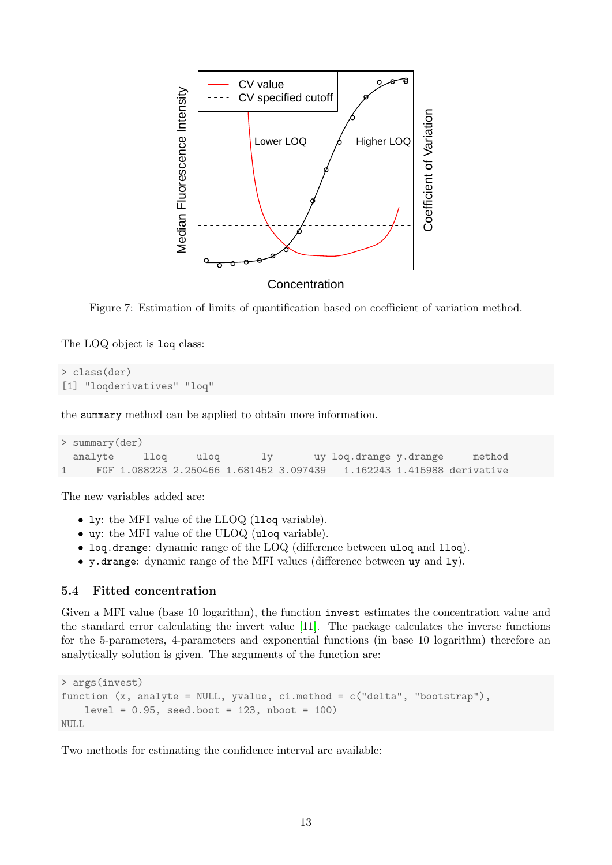<span id="page-12-1"></span>

Figure 7: Estimation of limits of quantification based on coefficient of variation method.

The LOQ object is loq class:

```
> class(der)
[1] "loqderivatives" "loq"
```
the summary method can be applied to obtain more information.

```
> summary(der)
 analyte lloq uloq ly uy loq.drange y.drange method
1 FGF 1.088223 2.250466 1.681452 3.097439 1.162243 1.415988 derivative
```
The new variables added are:

- ly: the MFI value of the LLOQ (lloq variable).
- uy: the MFI value of the ULOQ (uloq variable).
- loq.drange: dynamic range of the LOQ (difference between uloq and lloq).
- y.drange: dynamic range of the MFI values (difference between uy and ly).

## <span id="page-12-0"></span>5.4 Fitted concentration

Given a MFI value (base 10 logarithm), the function invest estimates the concentration value and the standard error calculating the invert value [\[11\]](#page-27-6). The package calculates the inverse functions for the 5-parameters, 4-parameters and exponential functions (in base 10 logarithm) therefore an analytically solution is given. The arguments of the function are:

```
> args(invest)
function (x, analyte = NULL, yvalue, ci.method = c("delta", "bootstrap"),
    level = 0.95, seed.boot = 123, nboot = 100)
NULL
```
Two methods for estimating the confidence interval are available: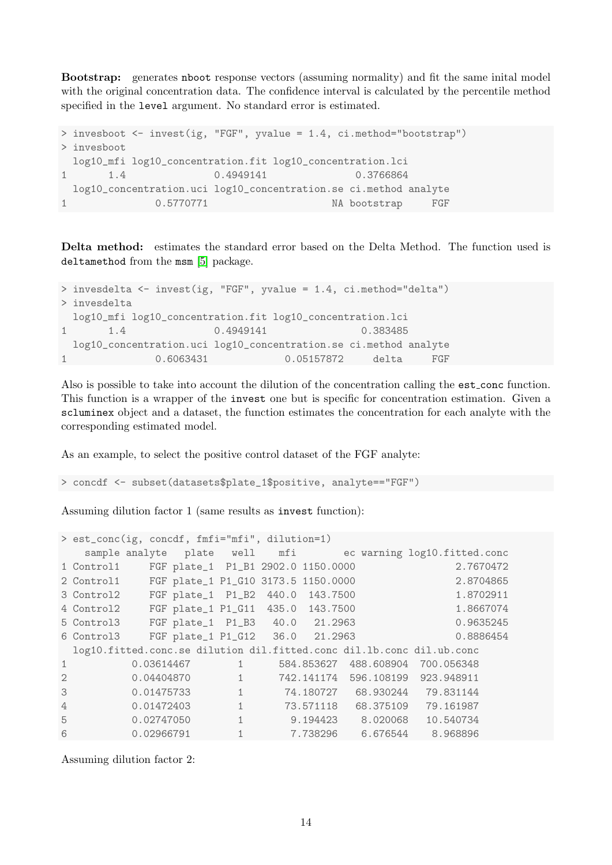Bootstrap: generates nboot response vectors (assuming normality) and fit the same inital model with the original concentration data. The confidence interval is calculated by the percentile method specified in the level argument. No standard error is estimated.

```
> invesboot <- invest(ig, "FGF", yvalue = 1.4, ci.method="bootstrap")
> invesboot
 log10_mfi log10_concentration.fit log10_concentration.lci
1 1.4 0.4949141 0.3766864
 log10_concentration.uci log10_concentration.se ci.method analyte
1 0.5770771 NA bootstrap FGF
```
Delta method: estimates the standard error based on the Delta Method. The function used is deltamethod from the msm [\[5\]](#page-27-7) package.

```
> invesdelta <- invest(ig, "FGF", yvalue = 1.4, ci.method="delta")
> invesdelta
 log10_mfi log10_concentration.fit log10_concentration.lci
1 1.4 0.4949141 0.383485
 log10_concentration.uci log10_concentration.se ci.method analyte
1 0.6063431 0.05157872 delta FGF
```
Also is possible to take into account the dilution of the concentration calling the est conc function. This function is a wrapper of the invest one but is specific for concentration estimation. Given a scluminex object and a dataset, the function estimates the concentration for each analyte with the corresponding estimated model.

As an example, to select the positive control dataset of the FGF analyte:

> concdf <- subset(datasets\$plate\_1\$positive, analyte=="FGF")

Assuming dilution factor 1 (same results as invest function):

```
> est_conc(ig, concdf, fmfi="mfi", dilution=1)
  sample analyte plate well mfi ec warning log10.fitted.conc
1 Control1 FGF plate_1 P1_B1 2902.0 1150.0000 2.7670472
2 Control1 FGF plate_1 P1_G10 3173.5 1150.0000 2.8704865
3 Control2 FGF plate_1 P1_B2 440.0 143.7500 1.8702911
4 Control2 FGF plate_1 P1_G11 435.0 143.7500 1.8667074
5 Control3 FGF plate_1 P1_B3 40.0 21.2963 0.9635245
6 Control3 FGF plate_1 P1_G12 36.0 21.2963 0.8886454
 log10.fitted.conc.se dilution dil.fitted.conc dil.lb.conc dil.ub.conc
1 0.03614467 1 584.853627 488.608904 700.056348
2 0.04404870 1 742.141174 596.108199 923.948911
3 0.01475733 1 74.180727 68.930244 79.831144
4 0.01472403 1 73.571118 68.375109 79.161987
5 0.02747050 1 9.194423 8.020068 10.540734
6 0.02966791 1 7.738296 6.676544 8.968896
```
Assuming dilution factor 2: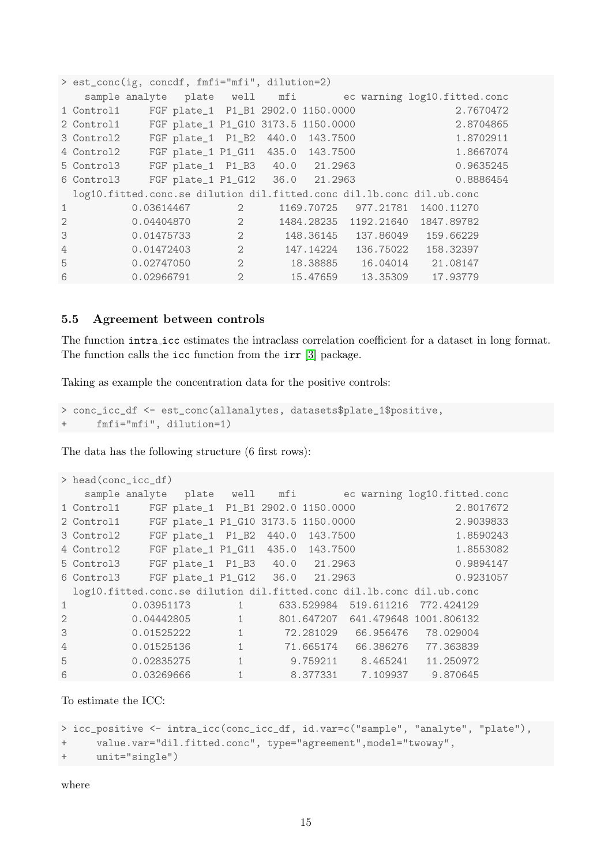```
> est_conc(ig, concdf, fmfi="mfi", dilution=2)
  sample analyte plate well mfi ec warning log10.fitted.conc
1 Control1 FGF plate_1 P1_B1 2902.0 1150.0000 2.7670472
2 Control1 FGF plate_1 P1_G10 3173.5 1150.0000 2.8704865
3 Control2 FGF plate_1 P1_B2 440.0 143.7500 1.8702911
4 Control2 FGF plate_1 P1_G11 435.0 143.7500 1.8667074
5 Control3 FGF plate_1 P1_B3 40.0 21.2963 0.9635245
6 Control3 FGF plate_1 P1_G12 36.0 21.2963 0.8886454
 log10.fitted.conc.se dilution dil.fitted.conc dil.lb.conc dil.ub.conc
1 0.03614467 2 1169.70725 977.21781 1400.11270
2 0.04404870 2 1484.28235 1192.21640 1847.89782
3 0.01475733 2 148.36145 137.86049 159.66229
4 0.01472403 2 147.14224 136.75022 158.32397
5 0.02747050 2 18.38885 16.04014 21.08147
6 0.02966791 2 15.47659 13.35309 17.93779
```
#### <span id="page-14-0"></span>5.5 Agreement between controls

The function intra icc estimates the intraclass correlation coefficient for a dataset in long format. The function calls the icc function from the irr [\[3\]](#page-27-8) package.

Taking as example the concentration data for the positive controls:

```
> conc_icc_df <- est_conc(allanalytes, datasets$plate_1$positive,
      fmfi="mfi", dilution=1)
```
The data has the following structure (6 first rows):

```
> head(conc_icc_df)
  sample analyte plate well mfi ec warning log10.fitted.conc
1 Control1 FGF plate_1 P1_B1 2902.0 1150.0000 2.8017672
2 Control1 FGF plate_1 P1_G10 3173.5 1150.0000 2.9039833
3 Control2 FGF plate_1 P1_B2 440.0 143.7500 1.8590243
4 Control2 FGF plate_1 P1_G11 435.0 143.7500 1.8553082
5 Control3 FGF plate_1 P1_B3 40.0 21.2963 0.9894147
6 Control3 FGF plate_1 P1_G12 36.0 21.2963 0.9231057
 log10.fitted.conc.se dilution dil.fitted.conc dil.lb.conc dil.ub.conc
1 0.03951173 1 633.529984 519.611216 772.424129
2 0.04442805 1 801.647207 641.479648 1001.806132
3 0.01525222 1 72.281029 66.956476 78.029004
4 0.01525136 1 71.665174 66.386276 77.363839
5 0.02835275 1 9.759211 8.465241 11.250972
6 0.03269666 1 8.377331 7.109937 9.870645
```
To estimate the ICC:

```
> icc_positive <- intra_icc(conc_icc_df, id.var=c("sample", "analyte", "plate"),
+ value.var="dil.fitted.conc", type="agreement",model="twoway",
     unit="signgle")
```
where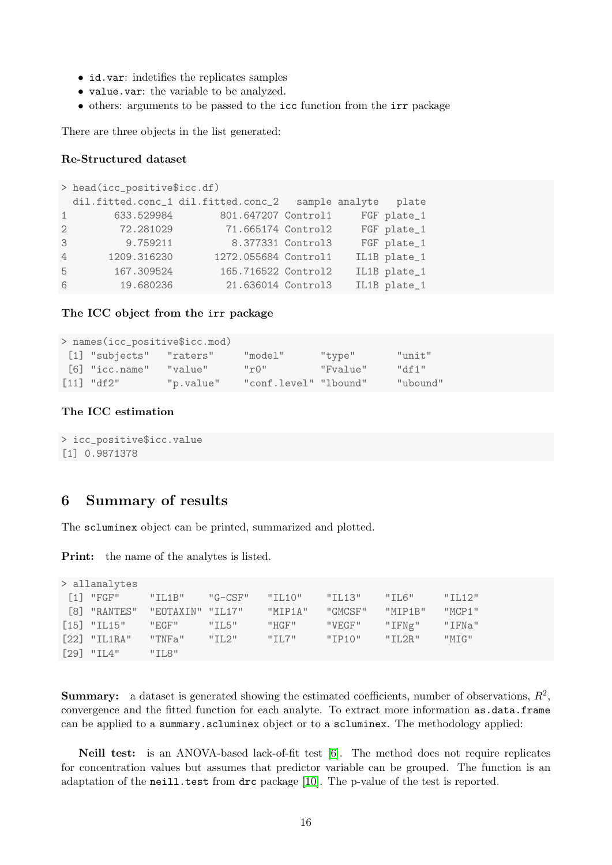- id.var: indetifies the replicates samples
- value.var: the variable to be analyzed.
- others: arguments to be passed to the icc function from the irr package

There are three objects in the list generated:

#### Re-Structured dataset

```
> head(icc_positive$icc.df)
 dil.fitted.conc_1 dil.fitted.conc_2 sample analyte plate
1 633.529984 801.647207 Control1 FGF plate_1
2 72.281029 71.665174 Control2 FGF plate_1
3 9.759211 8.377331 Control3 FGF plate_1
4 1209.316230 1272.055684 Control1 IL1B plate_1
5 167.309524 165.716522 Control2 IL1B plate_1
6 19.680236 21.636014 Control3 IL1B plate_1
```
#### The ICC object from the irr package

| > names(icc_positive\$icc.mod) |           |                                         |          |            |  |  |  |  |
|--------------------------------|-----------|-----------------------------------------|----------|------------|--|--|--|--|
| [1] "subjects" "raters"        |           | "model"                                 | "type"   | $"$ unit"  |  |  |  |  |
| $\lceil 6 \rceil$ "icc.name"   | "value"   | $^{\prime\prime}$ r() $^{\prime\prime}$ | "Fvalue" | $H \cap H$ |  |  |  |  |
| $[11]$ "df2"                   | "p.value" | "conf.level" "lbound"                   |          | "ubound"   |  |  |  |  |

## The ICC estimation

```
> icc_positive$icc.value
[1] 0.9871378
```
## <span id="page-15-0"></span>6 Summary of results

The scluminex object can be printed, summarized and plotted.

Print: the name of the analytes is listed.

| > allanalytes |                               |         |                |         |                 |               |         |
|---------------|-------------------------------|---------|----------------|---------|-----------------|---------------|---------|
|               | $\lceil 1 \rceil$ "FGF"       | "ILL1B" | "G-CSF" "IL10" |         | $"$ TL13"       | "TT.G"        | "TI.12" |
|               | [8] "RANTES" "EOTAXIN" "IL17" |         |                | "MTP1A" | "GMCSF" "MTP1B" |               | "MCP1"  |
|               | $[15]$ "IL15"                 | "EGF"   | "T1.5"         | "HGF"   | "VEGF"          | "IFNg"        | "IFNa"  |
|               | $\lceil 22 \rceil$ "IL1RA"    | "TNFa"  | $"$ IL2"       | "T1.7"  | "TP10"          | $"$ TI.2R $"$ | "MTG"   |
|               | $[29]$ "IL4"                  | "T1.8"  |                |         |                 |               |         |

**Summary:** a dataset is generated showing the estimated coefficients, number of observations,  $R^2$ , convergence and the fitted function for each analyte. To extract more information as.data.frame can be applied to a summary.scluminex object or to a scluminex. The methodology applied:

Neill test: is an ANOVA-based lack-of-fit test [\[6\]](#page-27-9). The method does not require replicates for concentration values but assumes that predictor variable can be grouped. The function is an adaptation of the neill.test from drc package [\[10\]](#page-27-10). The p-value of the test is reported.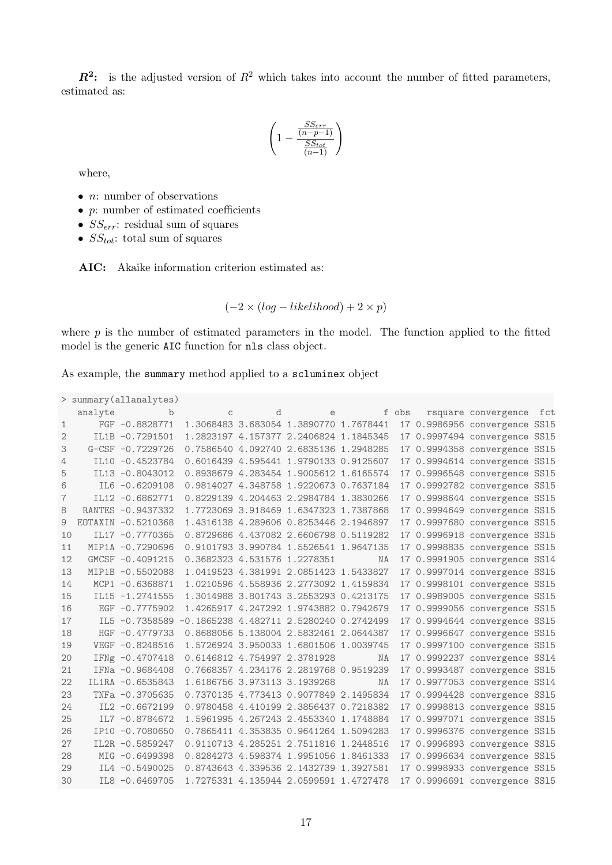$\mathbb{R}^2$ : is the adjusted version of  $\mathbb{R}^2$  which takes into account the number of fitted parameters, estimated as:

$$
\left(1-\frac{\frac{SS_{err}}{(n-p-1)}}{\frac{SS_{tot}}{(n-1)}}\right)
$$

where,

- $n:$  number of observations
- $\bullet$  *p*: number of estimated coefficients
- $SS_{err}$ : residual sum of squares
- $SS_{tot}$ : total sum of squares

AIC: Akaike information criterion estimated as:

$$
(-2 \times (log-likelihood) + 2 \times p)
$$

where  $p$  is the number of estimated parameters in the model. The function applied to the fitted model is the generic AIC function for nls class object.

As example, the summary method applied to a scluminex object

```
> summary(allanalytes)
```

|                | analyte b          | $\overline{C}$                            | d e fobs                               |           |  | rsquare convergence fct       |  |
|----------------|--------------------|-------------------------------------------|----------------------------------------|-----------|--|-------------------------------|--|
| $\mathbf{1}$   | FGF -0.8828771     |                                           | 1.3068483 3.683054 1.3890770 1.7678441 |           |  | 17 0.9986956 convergence SS15 |  |
| 2              | IL1B -0.7291501    |                                           | 1.2823197 4.157377 2.2406824 1.1845345 |           |  | 17 0.9997494 convergence SS15 |  |
| 3              | $G-CSF -0.7229726$ |                                           | 0.7586540 4.092740 2.6835136 1.2948285 |           |  | 17 0.9994358 convergence SS15 |  |
| 4              | IL10 -0.4523784    |                                           | 0.6016439 4.595441 1.9790133 0.9125607 |           |  | 17 0.9994614 convergence SS15 |  |
| 5              | IL13 -0.8043012    |                                           | 0.8938679 4.283454 1.9005612 1.6165574 |           |  | 17 0.9996548 convergence SS15 |  |
| 6              | IL6 -0.6209108     |                                           | 0.9814027 4.348758 1.9220673 0.7637184 |           |  | 17 0.9992782 convergence SS15 |  |
| $\overline{7}$ | IL12 -0.6862771    |                                           | 0.8229139 4.204463 2.2984784 1.3830266 |           |  | 17 0.9998644 convergence SS15 |  |
| 8              | RANTES -0.9437332  |                                           | 1.7723069 3.918469 1.6347323 1.7387868 |           |  | 17 0.9994649 convergence SS15 |  |
| 9              | EOTAXIN -0.5210368 |                                           | 1.4316138 4.289606 0.8253446 2.1946897 |           |  | 17 0.9997680 convergence SS15 |  |
| 10             | IL17 -0.7770365    |                                           | 0.8729686 4.437082 2.6606798 0.5119282 |           |  | 17 0.9996918 convergence SS15 |  |
| 11             | MIP1A -0.7290696   |                                           | 0.9101793 3.990784 1.5526541 1.9647135 |           |  | 17 0.9998835 convergence SS15 |  |
| 12             | GMCSF -0.4091215   |                                           | 0.3682323 4.531576 1.2278351           | NA        |  | 17 0.9991905 convergence SS14 |  |
| 13             | MIP1B -0.5502088   |                                           | 1.0419523 4.381991 2.0851423 1.5433827 |           |  | 17 0.9997014 convergence SS15 |  |
| 14             | MCP1 -0.6368871    |                                           | 1.0210596 4.558936 2.2773092 1.4159834 |           |  | 17 0.9998101 convergence SS15 |  |
| 15             | IL15 -1.2741555    |                                           | 1.3014988 3.801743 3.2553293 0.4213175 |           |  | 17 0.9989005 convergence SS15 |  |
| 16             | EGF -0.7775902     |                                           | 1.4265917 4.247292 1.9743882 0.7942679 |           |  | 17 0.9999056 convergence SS15 |  |
| 17             | IL5 -0.7358589     | $-0.1865238$ 4.482711 2.5280240 0.2742499 |                                        |           |  | 17 0.9994644 convergence SS15 |  |
| 18             | $HGF -0.4779733$   |                                           | 0.8688056 5.138004 2.5832461 2.0644387 |           |  | 17 0.9996647 convergence SS15 |  |
| 19             | VEGF -0.8248516    |                                           | 1.5726924 3.950033 1.6801506 1.0039745 |           |  | 17 0.9997100 convergence SS15 |  |
| 20             | IFNg -0.4707418    |                                           | 0.6146812 4.754997 2.3781928           | <b>NA</b> |  | 17 0.9992237 convergence SS14 |  |
| 21             | IFNa -0.9684408    |                                           | 0.7668357 4.234176 2.2819768 0.9519239 |           |  | 17 0.9993487 convergence SS15 |  |
| 22             | IL1RA -0.6535843   |                                           | 1.6186756 3.973113 3.1939268           | <b>NA</b> |  | 17 0.9977053 convergence SS14 |  |
| 23             | TNFa -0.3705635    |                                           | 0.7370135 4.773413 0.9077849 2.1495834 |           |  | 17 0.9994428 convergence SS15 |  |
| 24             | IL2 -0.6672199     |                                           | 0.9780458 4.410199 2.3856437 0.7218382 |           |  | 17 0.9998813 convergence SS15 |  |
| 25             | IL7 -0.8784672     |                                           | 1.5961995 4.267243 2.4553340 1.1748884 |           |  | 17 0.9997071 convergence SS15 |  |
| 26             | IP10 -0.7080650    |                                           | 0.7865411 4.353835 0.9641264 1.5094283 |           |  | 17 0.9996376 convergence SS15 |  |
| 27             | IL2R -0.5859247    |                                           | 0.9110713 4.285251 2.7511816 1.2448516 |           |  | 17 0.9996893 convergence SS15 |  |
| 28             | MIG -0.6499398     |                                           | 0.8284273 4.598374 1.9951056 1.8461333 |           |  | 17 0.9996634 convergence SS15 |  |
| 29             | IL4 -0.5490025     |                                           | 0.8743643 4.339536 2.1432739 1.3927581 |           |  | 17 0.9998933 convergence SS15 |  |
| 30             | IL8 -0.6469705     |                                           | 1.7275331 4.135944 2.0599591 1.4727478 |           |  | 17 0.9996691 convergence SS15 |  |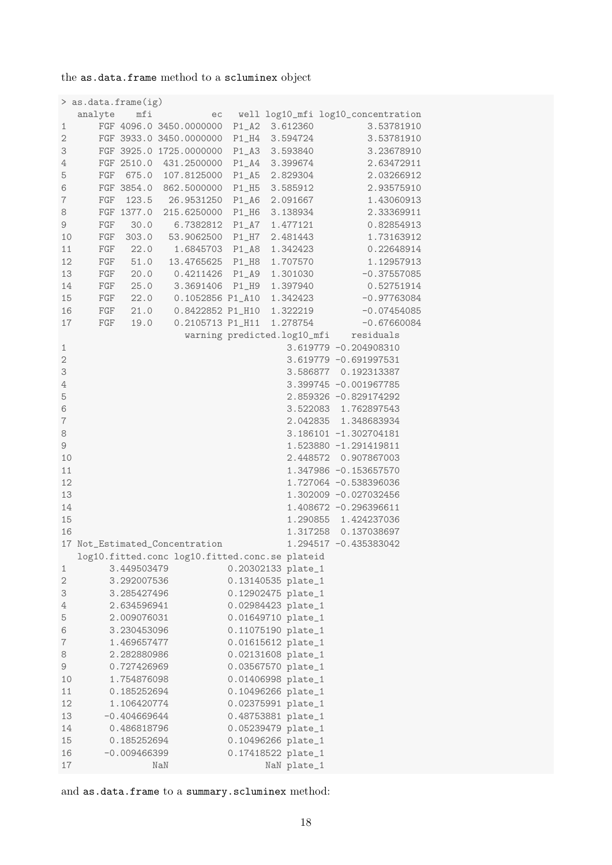the as.data.frame method to a scluminex object

|                  | > as.data.frame(ig)  |                |                                                |         |                    |                                       |
|------------------|----------------------|----------------|------------------------------------------------|---------|--------------------|---------------------------------------|
|                  | analyte              | mfi            |                                                |         |                    | ec well log10_mfi log10_concentration |
| 1                |                      |                | FGF 4096.0 3450.0000000                        |         | P1_A2 3.612360     | 3.53781910                            |
| $\sqrt{2}$       |                      |                | FGF 3933.0 3450.0000000                        |         | P1_H4 3.594724     | 3.53781910                            |
| 3                |                      |                | FGF 3925.0 1725.0000000                        |         | P1_A3 3.593840     | 3.23678910                            |
| $\overline{4}$   |                      |                | FGF 2510.0 431.2500000                         |         | P1_A4 3.399674     | 2.63472911                            |
| 5                | FGF                  |                | 675.0 107.8125000                              |         | P1_A5 2.829304     | 2.03266912                            |
| $\,$ 6           |                      |                | FGF 3854.0 862.5000000                         |         | P1_H5 3.585912     | 2.93575910                            |
| $\,7$            | FGF                  |                | 123.5 26.9531250                               |         | P1_A6 2.091667     | 1.43060913                            |
| $\rm 8$          |                      |                | FGF 1377.0 215.6250000 P1_H6 3.138934          |         |                    | 2.33369911                            |
| 9                | FGF                  | 30.0           | 6.7382812 P1_A7                                |         | 1.477121           | 0.82854913                            |
| 10               | $\operatorname{FGF}$ |                | 303.0 53.9062500                               | $P1_H7$ | 2.481443           | 1.73163912                            |
| 11               |                      | FGF 22.0       | 1.6845703 P1_A8                                |         | 1.342423           | 0.22648914                            |
| 12               |                      |                | FGF 51.0 13.4765625 P1_H8                      |         | 1.707570           | 1.12957913                            |
| 13               |                      |                | FGF 20.0 0.4211426 P1_A9                       |         | 1.301030           | $-0.37557085$                         |
| 14               |                      |                | FGF 25.0 3.3691406 P1_H9                       |         | 1.397940           | 0.52751914                            |
| 15               | FGF                  |                | 22.0 0.1052856 P1_A10                          |         | 1.342423           | $-0.97763084$                         |
| 16               | $\rm{FGF}$           | 21.0           | 0.8422852 P1_H10                               |         |                    |                                       |
| 17               | $\operatorname{FGF}$ | 19.0           | 0.2105713 P1_H11                               |         |                    | 1.278754 -0.67660084                  |
|                  |                      |                |                                                |         |                    | warning predicted.log10_mfi residuals |
|                  |                      |                |                                                |         |                    |                                       |
| $\mathbf{1}$     |                      |                |                                                |         |                    | 3.619779 -0.204908310                 |
| $\sqrt{2}$       |                      |                |                                                |         |                    | 3.619779 -0.691997531                 |
| 3                |                      |                |                                                |         |                    | 3.586877 0.192313387                  |
| $\overline{4}$   |                      |                |                                                |         |                    | 3.399745 -0.001967785                 |
| 5                |                      |                |                                                |         |                    | 2.859326 -0.829174292                 |
| 6                |                      |                |                                                |         |                    | 3.522083 1.762897543                  |
| $\boldsymbol{7}$ |                      |                |                                                |         |                    | 2.042835 1.348683934                  |
| 8                |                      |                |                                                |         |                    | 3.186101 -1.302704181                 |
| $\mathcal G$     |                      |                |                                                |         |                    | 1.523880 -1.291419811                 |
| 10               |                      |                |                                                |         |                    | 2.448572 0.907867003                  |
| 11               |                      |                |                                                |         |                    | 1.347986 -0.153657570                 |
| 12               |                      |                |                                                |         |                    | 1.727064 -0.538396036                 |
| 13               |                      |                |                                                |         |                    | 1.302009 -0.027032456                 |
| 14               |                      |                |                                                |         |                    | 1.408672 -0.296396611                 |
| 15               |                      |                |                                                |         |                    | 1.290855 1.424237036                  |
| 16               |                      |                |                                                |         |                    | 1.317258  0.137038697                 |
|                  |                      |                | 17 Not_Estimated_Concentration                 |         |                    | 1.294517 -0.435383042                 |
|                  |                      |                | log10.fitted.conc log10.fitted.conc.se plateid |         |                    |                                       |
| 1                |                      | 3.449503479    |                                                |         | 0.20302133 plate_1 |                                       |
| $\mathbf 2$      |                      | 3.292007536    |                                                |         | 0.13140535 plate_1 |                                       |
| З                |                      | 3.285427496    |                                                |         | 0.12902475 plate_1 |                                       |
| 4                |                      | 2.634596941    |                                                |         | 0.02984423 plate_1 |                                       |
| 5                |                      | 2.009076031    |                                                |         | 0.01649710 plate_1 |                                       |
| 6                |                      | 3.230453096    |                                                |         | 0.11075190 plate_1 |                                       |
| 7                |                      | 1.469657477    |                                                |         | 0.01615612 plate_1 |                                       |
| 8                |                      | 2.282880986    |                                                |         | 0.02131608 plate_1 |                                       |
| 9                |                      | 0.727426969    |                                                |         | 0.03567570 plate_1 |                                       |
| 10               |                      | 1.754876098    |                                                |         | 0.01406998 plate_1 |                                       |
| 11               |                      | 0.185252694    |                                                |         | 0.10496266 plate_1 |                                       |
| 12               |                      | 1.106420774    |                                                |         | 0.02375991 plate_1 |                                       |
| 13               |                      | $-0.404669644$ |                                                |         | 0.48753881 plate_1 |                                       |
| 14               |                      | 0.486818796    |                                                |         | 0.05239479 plate_1 |                                       |
| 15               |                      | 0.185252694    |                                                |         | 0.10496266 plate_1 |                                       |
| 16               |                      | $-0.009466399$ |                                                |         | 0.17418522 plate_1 |                                       |
| 17               |                      |                | NaN                                            |         | NaN plate_1        |                                       |
|                  |                      |                |                                                |         |                    |                                       |

and as.data.frame to a summary.scluminex method: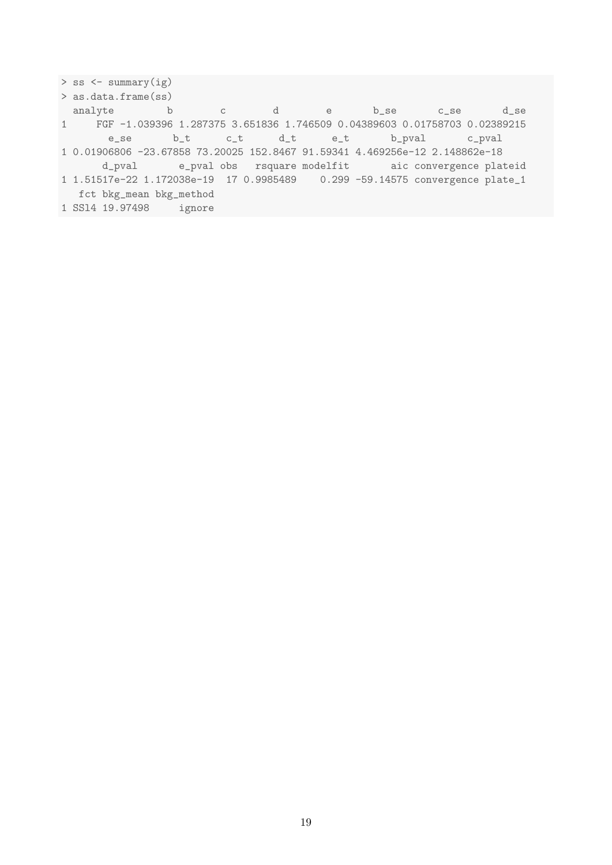```
> ss <- summary(ig)
> as.data.frame(ss)
analyte b c d e b_se c_se d_se
1 FGF -1.039396 1.287375 3.651836 1.746509 0.04389603 0.01758703 0.02389215
     e_se b_t c_t d_t e_t b_pval c_pval
1 0.01906806 -23.67858 73.20025 152.8467 91.59341 4.469256e-12 2.148862e-18
     d_pval e_pval obs rsquare modelfit aic convergence plateid
1 1.51517e-22 1.172038e-19 17 0.9985489 0.299 -59.14575 convergence plate_1
 fct bkg_mean bkg_method
1 SSl4 19.97498 ignore
```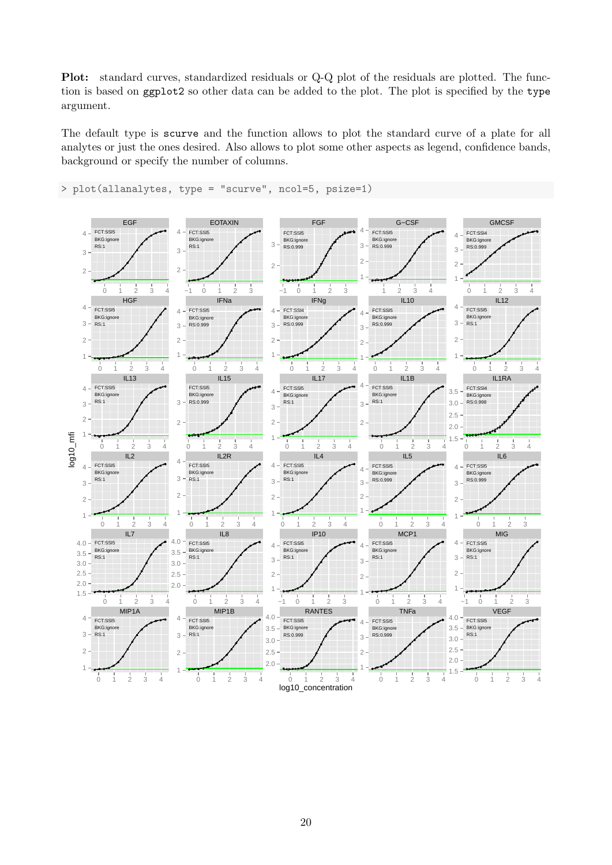Plot: standard curves, standardized residuals or Q-Q plot of the residuals are plotted. The function is based on ggplot2 so other data can be added to the plot. The plot is specified by the type argument.

The default type is scurve and the function allows to plot the standard curve of a plate for all analytes or just the ones desired. Also allows to plot some other aspects as legend, confidence bands, background or specify the number of columns.



> plot(allanalytes, type = "scurve", ncol=5, psize=1)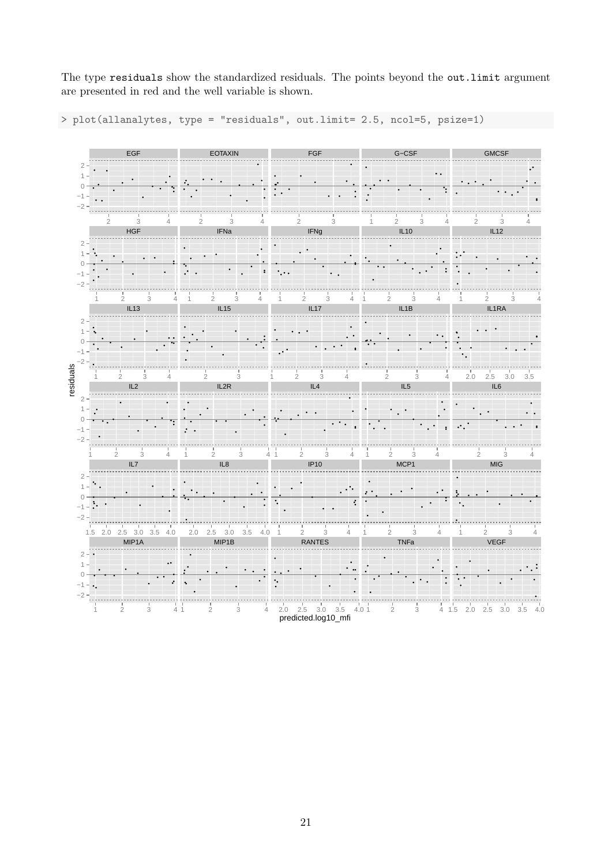The type residuals show the standardized residuals. The points beyond the out.limit argument are presented in red and the well variable is shown.

> plot(allanalytes, type = "residuals", out.limit= 2.5, ncol=5, psize=1)

|                | EGF                                                     | <b>EOTAXIN</b>                                              | FGF                                                                               | G-CSF                                                         | <b>GMCSF</b>                                                       |
|----------------|---------------------------------------------------------|-------------------------------------------------------------|-----------------------------------------------------------------------------------|---------------------------------------------------------------|--------------------------------------------------------------------|
|                |                                                         |                                                             |                                                                                   |                                                               |                                                                    |
|                |                                                         |                                                             |                                                                                   |                                                               |                                                                    |
|                | 3<br>2<br>4                                             | 3<br>$\overline{2}$<br>4                                    | $\mathbf{2}$<br>3                                                                 | 2<br>3<br>1<br>4                                              | $\overline{2}$<br>3                                                |
|                | <b>HGF</b>                                              | IFNa                                                        | <b>IFNg</b>                                                                       | IL10                                                          | IL12                                                               |
| $\overline{2}$ |                                                         |                                                             |                                                                                   |                                                               |                                                                    |
|                |                                                         |                                                             |                                                                                   |                                                               |                                                                    |
|                |                                                         |                                                             |                                                                                   |                                                               |                                                                    |
|                | $\sqrt{2}$<br>3<br>IL13                                 | $\overline{2}$<br>3<br>$\overline{4}$<br>4<br>IL15          | $\overline{2}$<br>3<br>4<br>1<br>IL17                                             | $\mathbf{2}$<br>$\ensuremath{\mathsf{3}}$<br>4<br>IL1B        | $\mathbf{2}$<br>3<br>1<br>IL1RA                                    |
| $\overline{2}$ |                                                         |                                                             |                                                                                   |                                                               |                                                                    |
|                |                                                         |                                                             |                                                                                   |                                                               |                                                                    |
|                |                                                         |                                                             |                                                                                   |                                                               |                                                                    |
| residuals<br>1 | $\overline{2}$<br>$\mathfrak{Z}$                        | $\mathbf{2}$<br>$\mathfrak{Z}$<br>$\overline{4}$            | $\sqrt{2}$<br>$\ensuremath{\mathsf{3}}$<br>$\overline{4}$                         | $\sqrt{2}$<br>$\,3$<br>$\overline{4}$                         | $2.5\,$<br>$3.0\,$<br>2.0<br>3.5                                   |
|                | IL2                                                     | IL2R                                                        | IL4                                                                               | IL <sub>5</sub>                                               | IL6                                                                |
| 2              |                                                         |                                                             |                                                                                   |                                                               |                                                                    |
| C              |                                                         |                                                             |                                                                                   |                                                               |                                                                    |
|                |                                                         |                                                             |                                                                                   |                                                               |                                                                    |
|                | $\frac{1}{3}$<br>$\frac{1}{2}$<br>$\overline{4}$<br>IL7 | $\frac{1}{2}$<br>$\frac{1}{3}$<br>IL8                       | $\frac{1}{3}$<br>$\frac{1}{2}$<br>4 <sub>1</sub><br>$\overline{4}$<br><b>IP10</b> | $\frac{1}{2}$<br>$\frac{1}{3}$<br>$\overline{4}$<br>1         | $\frac{1}{2}$<br>$\frac{1}{3}$<br>$\overline{4}$<br>$\mathsf{MIG}$ |
| $\overline{2}$ |                                                         |                                                             |                                                                                   | MCP1                                                          |                                                                    |
|                |                                                         |                                                             |                                                                                   |                                                               |                                                                    |
|                |                                                         |                                                             |                                                                                   |                                                               |                                                                    |
| $-2$           | 1.5 2.0 2.5 3.0 3.5 4.0                                 | 2.0<br>$2.5$ 3.0<br>3.5                                     | $\frac{1}{3}$<br>4.0<br>$\overline{2}$<br>4<br>$\overline{1}$                     | $\overline{2}$<br>$\ensuremath{\mathsf{3}}$<br>$\overline{4}$ | $\sqrt{2}$<br>$\ensuremath{\mathsf{3}}$<br>1                       |
|                | MIP1A                                                   | MIP1B                                                       | <b>RANTES</b>                                                                     | TNFa                                                          | VEGF                                                               |
| $2 - \cdot$    |                                                         |                                                             |                                                                                   |                                                               |                                                                    |
|                |                                                         |                                                             |                                                                                   |                                                               |                                                                    |
|                |                                                         |                                                             |                                                                                   |                                                               |                                                                    |
|                | $\sqrt{2}$<br>$\ensuremath{\mathsf{3}}$                 | $\mathbf{2}$<br>$\ensuremath{\mathsf{3}}$<br>4 <sub>1</sub> | 2.0<br>$2.5$ $3.0$ $3.5$<br>4.01<br>$\overline{4}$<br>predicted.log10_mfi         | $\overline{2}$<br>3                                           | 4 1.5 2.0 2.5 3.0 3.5<br>4.0                                       |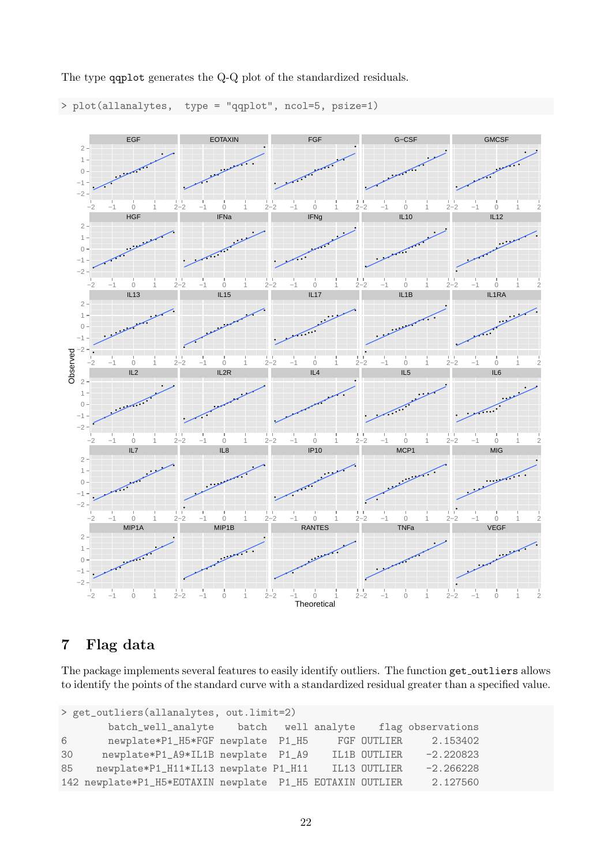

The type qqplot generates the Q-Q plot of the standardized residuals.

> plot(allanalytes, type = "qqplot", ncol=5, psize=1)

# <span id="page-21-0"></span>7 Flag data

The package implements several features to easily identify outliers. The function get outliers allows to identify the points of the standard curve with a standardized residual greater than a specified value.

```
> get_outliers(allanalytes, out.limit=2)
      batch_well_analyte batch well analyte flag observations
6 newplate*P1_H5*FGF newplate P1_H5 FGF OUTLIER 2.153402
30 newplate*P1_A9*IL1B newplate P1_A9 IL1B OUTLIER -2.220823
85 newplate*P1_H11*IL13 newplate P1_H11 IL13 OUTLIER -2.266228
142 newplate*P1_H5*EOTAXIN newplate P1_H5 EOTAXIN OUTLIER 2.127560
```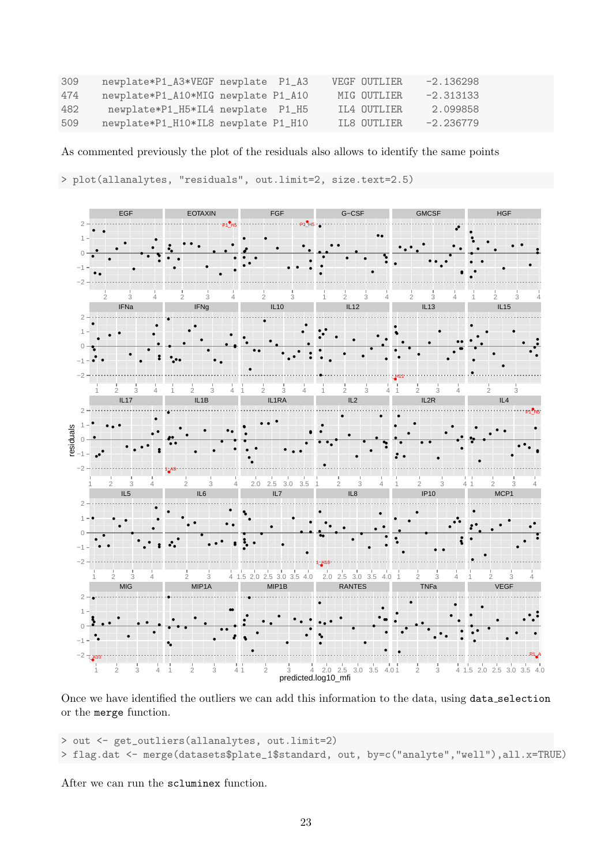| 309 | newplate*P1_A3*VEGF newplate P1_A3  |  | VEGF OUTLIER | $-2.136298$ |
|-----|-------------------------------------|--|--------------|-------------|
| 474 | newplate*P1_A10*MIG newplate P1_A10 |  | MIG OUTLIER  | $-2.313133$ |
| 482 | newplate*P1_H5*IL4 newplate P1_H5   |  | IL4 OUTLIER  | 2.099858    |
| 509 | newplate*P1_H10*IL8 newplate P1_H10 |  | IL8 OUTLIER  | $-2.236779$ |

As commented previously the plot of the residuals also allows to identify the same points

> plot(allanalytes, "residuals", out.limit=2, size.text=2.5)



Once we have identified the outliers we can add this information to the data, using data\_selection or the merge function.

```
> out <- get_outliers(allanalytes, out.limit=2)
> flag.dat <- merge(datasets$plate_1$standard, out, by=c("analyte","well"),all.x=TRUE)
```
After we can run the scluminex function.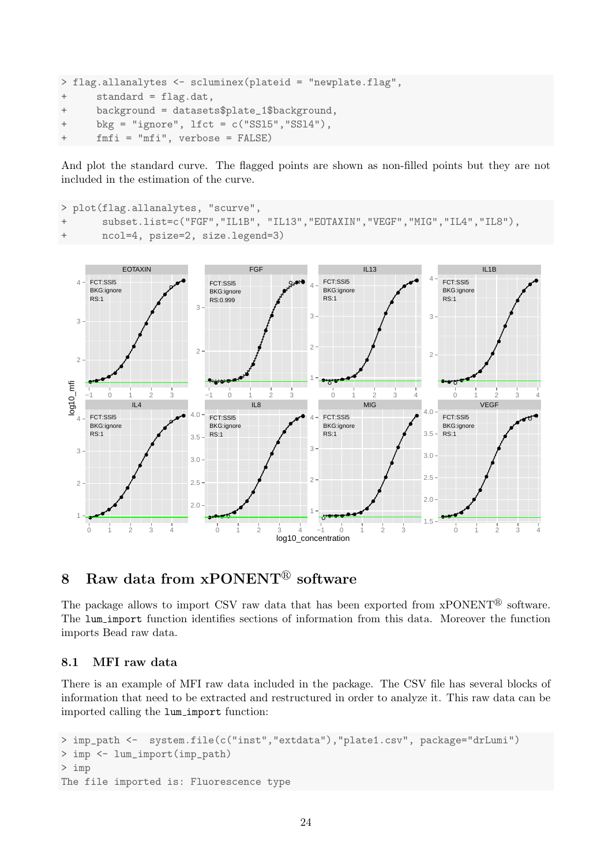```
> flag.allanalytes <- scluminex(plateid = "newplate.flag",
+ standard = flag.dat,
+ background = datasets$plate_1$background,
+ bkg = "ignore", lfct = c("SSl5","SSl4"),
+ fmfi = "mfi", verbose = FALSE)
```
And plot the standard curve. The flagged points are shown as non-filled points but they are not included in the estimation of the curve.

```
> plot(flag.allanalytes, "scurve",
+ subset.list=c("FGF","IL1B", "IL13","EOTAXIN","VEGF","MIG","IL4","IL8"),
      ncol=4, psize=2, size.legend=3)
```


# <span id="page-23-0"></span>8 Raw data from  $x$ PONENT<sup>®</sup> software

The package allows to import CSV raw data that has been exported from  $xPONENT^{\mathcal{B}}$  software. The lum import function identifies sections of information from this data. Moreover the function imports Bead raw data.

#### <span id="page-23-1"></span>8.1 MFI raw data

There is an example of MFI raw data included in the package. The CSV file has several blocks of information that need to be extracted and restructured in order to analyze it. This raw data can be imported calling the lum import function:

```
> imp_path <- system.file(c("inst","extdata"),"plate1.csv", package="drLumi")
> imp <- lum_import(imp_path)
> imp
The file imported is: Fluorescence type
```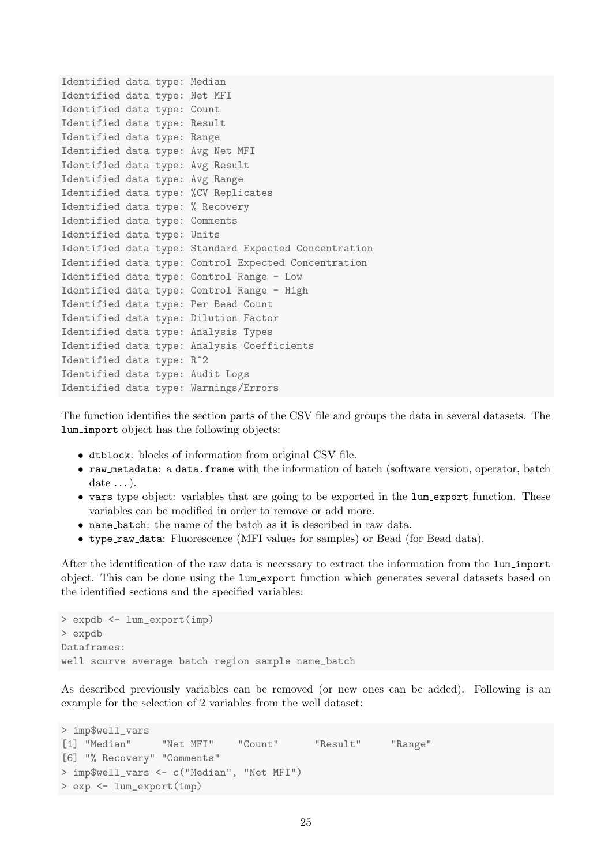```
Identified data type: Median
Identified data type: Net MFI
Identified data type: Count
Identified data type: Result
Identified data type: Range
Identified data type: Avg Net MFI
Identified data type: Avg Result
Identified data type: Avg Range
Identified data type: %CV Replicates
Identified data type: % Recovery
Identified data type: Comments
Identified data type: Units
Identified data type: Standard Expected Concentration
Identified data type: Control Expected Concentration
Identified data type: Control Range - Low
Identified data type: Control Range - High
Identified data type: Per Bead Count
Identified data type: Dilution Factor
Identified data type: Analysis Types
Identified data type: Analysis Coefficients
Identified data type: R^2
Identified data type: Audit Logs
Identified data type: Warnings/Errors
```
The function identifies the section parts of the CSV file and groups the data in several datasets. The lum import object has the following objects:

- dtblock: blocks of information from original CSV file.
- raw metadata: a data.frame with the information of batch (software version, operator, batch date  $\dots$ ).
- vars type object: variables that are going to be exported in the lum export function. These variables can be modified in order to remove or add more.
- name batch: the name of the batch as it is described in raw data.
- type raw data: Fluorescence (MFI values for samples) or Bead (for Bead data).

After the identification of the raw data is necessary to extract the information from the lum import object. This can be done using the lum export function which generates several datasets based on the identified sections and the specified variables:

```
> expdb <- lum_export(imp)
> expdb
Dataframes:
well scurve average batch region sample name_batch
```
As described previously variables can be removed (or new ones can be added). Following is an example for the selection of 2 variables from the well dataset:

```
> imp$well_vars
[1] "Median" "Net MFI" "Count" "Result" "Range"
[6] "% Recovery" "Comments"
> imp$well_vars <- c("Median", "Net MFI")
> exp <- lum_export(imp)
```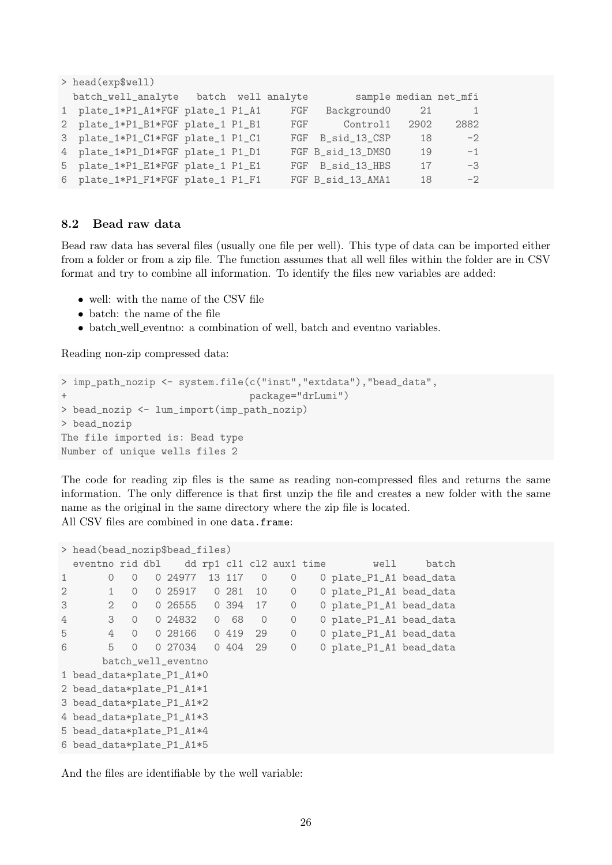```
> head(exp$well)
 batch_well_analyte batch well analyte sample median net_mfi
1 plate_1*P1_A1*FGF plate_1 P1_A1 FGF Background0 21 1
2 plate_1*P1_B1*FGF plate_1 P1_B1 FGF Control1 2902 2882
3 plate_1*P1_C1*FGF plate_1 P1_C1 FGF B_sid_13_CSP 18 -2
4 plate_1*P1_D1*FGF plate_1 P1_D1 FGF B_sid_13_DMSO 19 -1
5 plate_1*P1_E1*FGF plate_1 P1_E1 FGF B_sid_13_HBS 17 -3
6 plate_1*P1_F1*FGF plate_1 P1_F1 FGF B_sid_13_AMA1 18 -2
```
### <span id="page-25-0"></span>8.2 Bead raw data

Bead raw data has several files (usually one file per well). This type of data can be imported either from a folder or from a zip file. The function assumes that all well files within the folder are in CSV format and try to combine all information. To identify the files new variables are added:

- well: with the name of the CSV file
- batch: the name of the file
- batch well eventno: a combination of well, batch and eventno variables.

Reading non-zip compressed data:

```
> imp_path_nozip <- system.file(c("inst","extdata"),"bead_data",
+ package="drLumi")
> bead_nozip <- lum_import(imp_path_nozip)
> bead_nozip
The file imported is: Bead type
Number of unique wells files 2
```
The code for reading zip files is the same as reading non-compressed files and returns the same information. The only difference is that first unzip the file and creates a new folder with the same name as the original in the same directory where the zip file is located. All CSV files are combined in one data.frame:

```
> head(bead_nozip$bead_files)
 eventno rid dbl dd rp1 cl1 cl2 aux1 time well batch
1 0 0 0 24977 13 117 0 0 0 plate_P1_A1 bead_data
2 1 0 0 25917 0 281 10 0 0 plate_P1_A1 bead_data
3 2 0 0 26555 0 394 17 0 0 plate_P1_A1 bead_data
4 3 0 0 24832 0 68 0 0 0 plate_P1_A1 bead_data
5 4 0 0 28166 0 419 29 0 0 plate_P1_A1 bead_data
6 5 0 0 27034 0 404 29 0 0 plate_P1_A1 bead_data
     batch_well_eventno
1 bead_data*plate_P1_A1*0
2 bead_data*plate_P1_A1*1
3 bead_data*plate_P1_A1*2
4 bead_data*plate_P1_A1*3
5 bead_data*plate_P1_A1*4
6 bead_data*plate_P1_A1*5
```
And the files are identifiable by the well variable: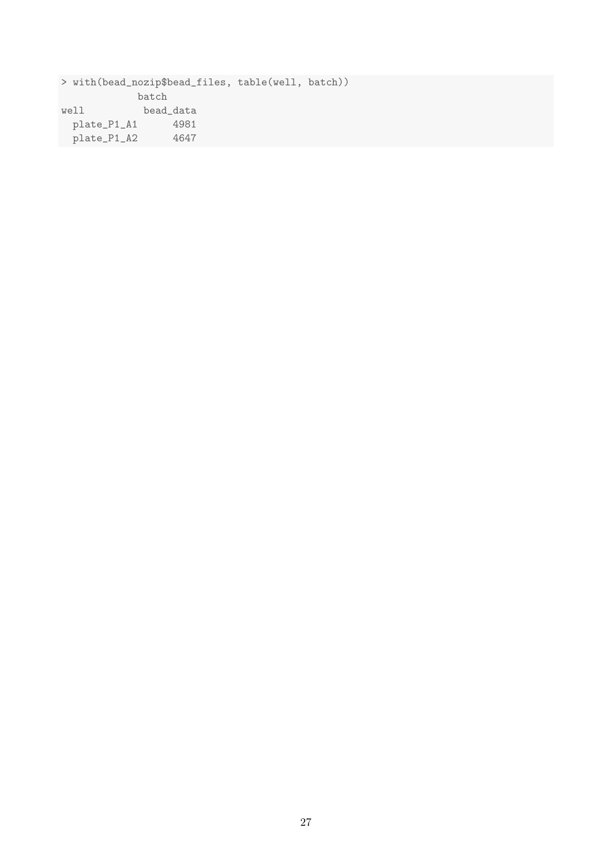> with(bead\_nozip\$bead\_files, table(well, batch)) batch well bead\_data plate\_P1\_A1 4981 plate\_P1\_A2 4647